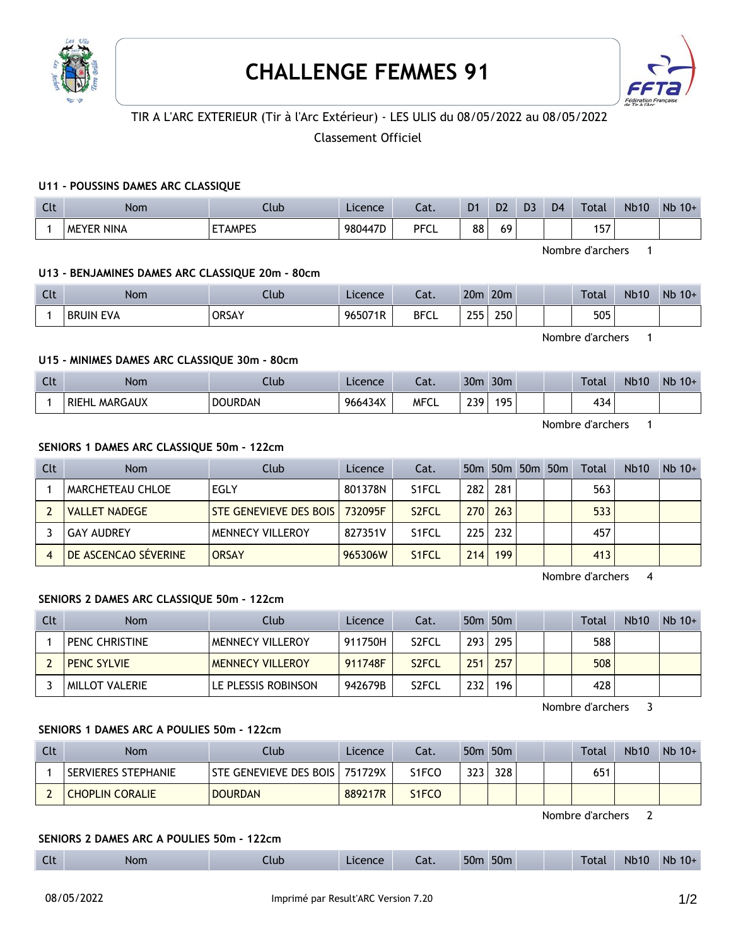



# TIR A L'ARC EXTERIEUR (Tir à l'Arc Extérieur) - LES ULIS du 08/05/2022 au 08/05/2022

# Classement Officiel

### **U11 - POUSSINS DAMES ARC CLASSIQUE**

| Clt | <b>Nom</b>           | .lub           | Licence | Cat.        | D1       | D <sub>2</sub> | D <sub>3</sub> | D <sub>4</sub> | Total | <b>Nb10</b> | Nb<br>$10+$ |
|-----|----------------------|----------------|---------|-------------|----------|----------------|----------------|----------------|-------|-------------|-------------|
|     | NINA<br><b>MEYER</b> | <b>ETAMPES</b> | 980447D | <b>PFCL</b> | 00<br>٥٥ | 69             |                |                | 157   |             |             |

Nombre d'archers 1

### **U13 - BENJAMINES DAMES ARC CLASSIQUE 20m - 80cm**

| Clt | Nom                        | Club         | Licence | Cat.        | 20 <sub>m</sub> | 20 <sub>m</sub> | Total | <b>Nb10</b> | N <sub>b</sub><br>$10+$ |
|-----|----------------------------|--------------|---------|-------------|-----------------|-----------------|-------|-------------|-------------------------|
|     | <b>BRUIN</b><br><b>EVA</b> | <b>ORSAY</b> | 965071R | <b>BFCL</b> | つにに<br>ـــ      | 250             | 505   |             |                         |

Nombre d'archers 1

### **U15 - MINIMES DAMES ARC CLASSIQUE 30m - 80cm**

| Clt | <b>Nom</b>              | Llub           | Licence | Cat.        | 30 <sub>m</sub> | 30 <sub>m</sub> |  | Total | <b>Nb10</b> | N <sub>b</sub><br>$10+$ |
|-----|-------------------------|----------------|---------|-------------|-----------------|-----------------|--|-------|-------------|-------------------------|
|     | MARGAUX<br><b>RIEHL</b> | <b>DOURDAN</b> | 966434X | <b>MFCL</b> | 230             | 195             |  | 434   |             |                         |

Nombre d'archers 1

#### **SENIORS 1 DAMES ARC CLASSIQUE 50m - 122cm**

| Clt | Nom                         | Club                             | Licence | Cat.               |     |     | 50m 50m 50m 50m | Total | <b>Nb10</b> | $Nb$ 10+ |
|-----|-----------------------------|----------------------------------|---------|--------------------|-----|-----|-----------------|-------|-------------|----------|
|     | I MARCHETEAU CHLOE          | EGLY                             | 801378N | S1FCL              | 282 | 281 |                 | 563   |             |          |
|     | <b>VALLET NADEGE</b>        | STE GENEVIEVE DES BOIS   732095F |         | S <sub>2</sub> FCL | 270 | 263 |                 | 533   |             |          |
|     | <b>GAY AUDREY</b>           | <b>MENNECY VILLEROY</b>          | 827351V | S1FCL              | 225 | 232 |                 | 457   |             |          |
|     | <b>DE ASCENCAO SÉVERINE</b> | <b>ORSAY</b>                     | 965306W | S <sub>1</sub> FCL | 214 | 199 |                 | 413   |             |          |

Nombre d'archers 4

# **SENIORS 2 DAMES ARC CLASSIQUE 50m - 122cm**

| Clt | <b>Nom</b>         | Club                    | Licence | Cat.               |     | 50 <sub>m</sub> 50 <sub>m</sub> |  | Total | <b>Nb10</b> | $Nb$ 10+ |
|-----|--------------------|-------------------------|---------|--------------------|-----|---------------------------------|--|-------|-------------|----------|
|     | PENC CHRISTINE     | IMENNECY VILLEROY       | 911750H | S <sub>2</sub> FCL | 293 | 295                             |  | 588   |             |          |
|     | <b>PENC SYLVIE</b> | <b>MENNECY VILLEROY</b> | 911748F | S <sub>2</sub> FCL | 251 | 257                             |  | 508   |             |          |
|     | MILLOT VALERIE     | LE PLESSIS ROBINSON     | 942679B | S2FCL              | 232 | 196                             |  | 428   |             |          |

Nombre d'archers 3

### **SENIORS 1 DAMES ARC A POULIES 50m - 122cm**

| Clt | Nom                        | Club.                            | <b>Licence</b> | Cat.               |     | 50m 50m |  | Total | <b>Nb10</b> | $Nb$ 10+ |
|-----|----------------------------|----------------------------------|----------------|--------------------|-----|---------|--|-------|-------------|----------|
|     | <b>SERVIERES STEPHANIE</b> | STE GENEVIEVE DES BOIS   751729X |                | S1FCO              | 323 | 328     |  | 651   |             |          |
|     | <b>CHOPLIN CORALIE</b>     | <b>DOURDAN</b>                   | 889217R        | S <sub>1</sub> FCO |     |         |  |       |             |          |

Nombre d'archers 2

### **SENIORS 2 DAMES ARC A POULIES 50m - 122cm**

| $\sim$ 1.<br>50 <sub>m</sub><br>50 <sub>m</sub><br>Nb<br>Nŀ<br>4b10<br>Tota<br>$-$<br>Nom<br>.lub<br>$\sim$<br><b>Alcence</b><br>cac.<br><b>CIL</b><br>__ |  |  |  |  |  |  |  |  |  |  | $10+$ |
|-----------------------------------------------------------------------------------------------------------------------------------------------------------|--|--|--|--|--|--|--|--|--|--|-------|
|-----------------------------------------------------------------------------------------------------------------------------------------------------------|--|--|--|--|--|--|--|--|--|--|-------|